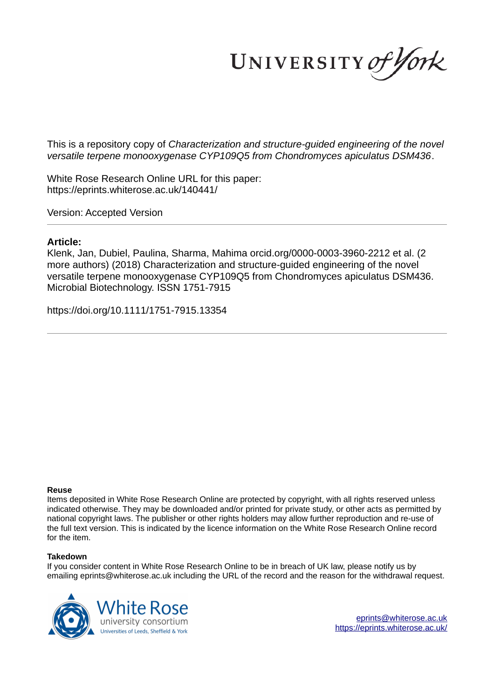UNIVERSITY of York

This is a repository copy of *Characterization and structure-guided engineering of the novel versatile terpene monooxygenase CYP109Q5 from Chondromyces apiculatus DSM436*.

White Rose Research Online URL for this paper: https://eprints.whiterose.ac.uk/140441/

Version: Accepted Version

## **Article:**

Klenk, Jan, Dubiel, Paulina, Sharma, Mahima orcid.org/0000-0003-3960-2212 et al. (2 more authors) (2018) Characterization and structure-guided engineering of the novel versatile terpene monooxygenase CYP109Q5 from Chondromyces apiculatus DSM436. Microbial Biotechnology. ISSN 1751-7915

https://doi.org/10.1111/1751-7915.13354

#### **Reuse**

Items deposited in White Rose Research Online are protected by copyright, with all rights reserved unless indicated otherwise. They may be downloaded and/or printed for private study, or other acts as permitted by national copyright laws. The publisher or other rights holders may allow further reproduction and re-use of the full text version. This is indicated by the licence information on the White Rose Research Online record for the item.

#### **Takedown**

If you consider content in White Rose Research Online to be in breach of UK law, please notify us by emailing eprints@whiterose.ac.uk including the URL of the record and the reason for the withdrawal request.



eprints@whiterose.ac.uk https://eprints.whiterose.ac.uk/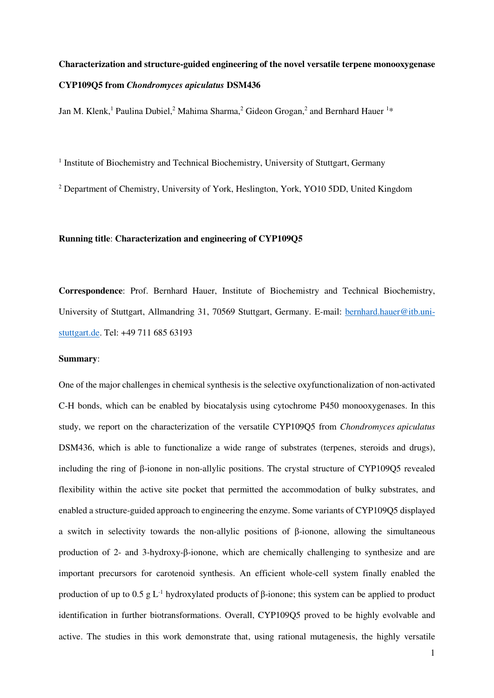# **Characterization and structure-guided engineering of the novel versatile terpene monooxygenase CYP109Q5 from** *Chondromyces apiculatus* **DSM436**

Jan M. Klenk,<sup>1</sup> Paulina Dubiel,<sup>2</sup> Mahima Sharma,<sup>2</sup> Gideon Grogan,<sup>2</sup> and Bernhard Hauer <sup>1\*</sup>

<sup>1</sup> Institute of Biochemistry and Technical Biochemistry, University of Stuttgart, Germany

<sup>2</sup> Department of Chemistry, University of York, Heslington, York, YO10 5DD, United Kingdom

## **Running title**: **Characterization and engineering of CYP109Q5**

**Correspondence**: Prof. Bernhard Hauer, Institute of Biochemistry and Technical Biochemistry, University of Stuttgart, Allmandring 31, 70569 Stuttgart, Germany. E-mail: [bernhard.hauer@itb.uni](mailto:bernhard.hauer@itb.uni-stuttgart.de)[stuttgart.de.](mailto:bernhard.hauer@itb.uni-stuttgart.de) Tel: +49 711 685 63193

## **Summary**:

One of the major challenges in chemical synthesis is the selective oxyfunctionalization of non-activated C-H bonds, which can be enabled by biocatalysis using cytochrome P450 monooxygenases. In this study, we report on the characterization of the versatile CYP109Q5 from *Chondromyces apiculatus* DSM436, which is able to functionalize a wide range of substrates (terpenes, steroids and drugs), including the ring of β-ionone in non-allylic positions. The crystal structure of CYP109Q5 revealed flexibility within the active site pocket that permitted the accommodation of bulky substrates, and enabled a structure-guided approach to engineering the enzyme. Some variants of CYP109Q5 displayed a switch in selectivity towards the non-allylic positions of β-ionone, allowing the simultaneous production of 2- and 3-hydroxy-β-ionone, which are chemically challenging to synthesize and are important precursors for carotenoid synthesis. An efficient whole-cell system finally enabled the production of up to 0.5 g  $L^{-1}$  hydroxylated products of β-ionone; this system can be applied to product identification in further biotransformations. Overall, CYP109Q5 proved to be highly evolvable and active. The studies in this work demonstrate that, using rational mutagenesis, the highly versatile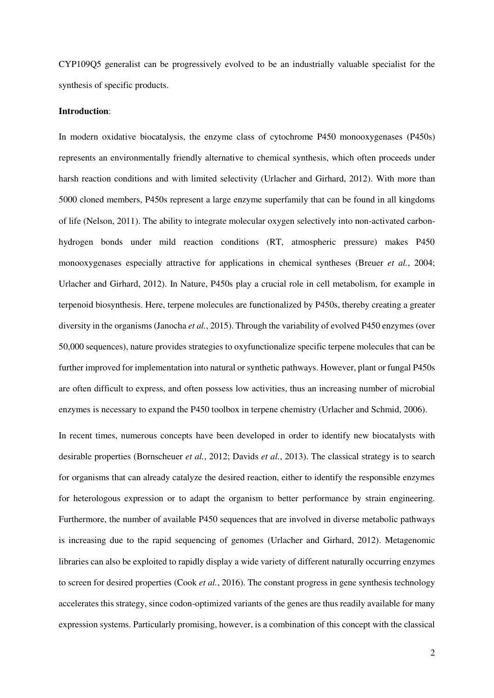CYP109Q5 generalist can be progressively evolved to be an industrially valuable specialist for the synthesis of specific products.

#### **Introduction**:

In modern oxidative biocatalysis, the enzyme class of cytochrome P450 monooxygenases (P450s) represents an environmentally friendly alternative to chemical synthesis, which often proceeds under harsh reaction conditions and with limited selectivity (Urlacher and Girhard, 2012). With more than 5000 cloned members, P450s represent a large enzyme superfamily that can be found in all kingdoms of life (Nelson, 2011). The ability to integrate molecular oxygen selectively into non-activated carbonhydrogen bonds under mild reaction conditions (RT, atmospheric pressure) makes P450 monooxygenases especially attractive for applications in chemical syntheses (Breuer *et al.*, 2004; Urlacher and Girhard, 2012). In Nature, P450s play a crucial role in cell metabolism, for example in terpenoid biosynthesis. Here, terpene molecules are functionalized by P450s, thereby creating a greater diversity in the organisms (Janocha *et al.*, 2015). Through the variability of evolved P450 enzymes (over 50,000 sequences), nature provides strategies to oxyfunctionalize specific terpene molecules that can be further improved for implementation into natural or synthetic pathways. However, plant or fungal P450s are often difficult to express, and often possess low activities, thus an increasing number of microbial enzymes is necessary to expand the P450 toolbox in terpene chemistry (Urlacher and Schmid, 2006).

In recent times, numerous concepts have been developed in order to identify new biocatalysts with desirable properties (Bornscheuer *et al.*, 2012; Davids *et al.*, 2013). The classical strategy is to search for organisms that can already catalyze the desired reaction, either to identify the responsible enzymes for heterologous expression or to adapt the organism to better performance by strain engineering. Furthermore, the number of available P450 sequences that are involved in diverse metabolic pathways is increasing due to the rapid sequencing of genomes (Urlacher and Girhard, 2012). Metagenomic libraries can also be exploited to rapidly display a wide variety of different naturally occurring enzymes to screen for desired properties (Cook *et al.*, 2016). The constant progress in gene synthesis technology accelerates this strategy, since codon-optimized variants of the genes are thus readily available for many expression systems. Particularly promising, however, is a combination of this concept with the classical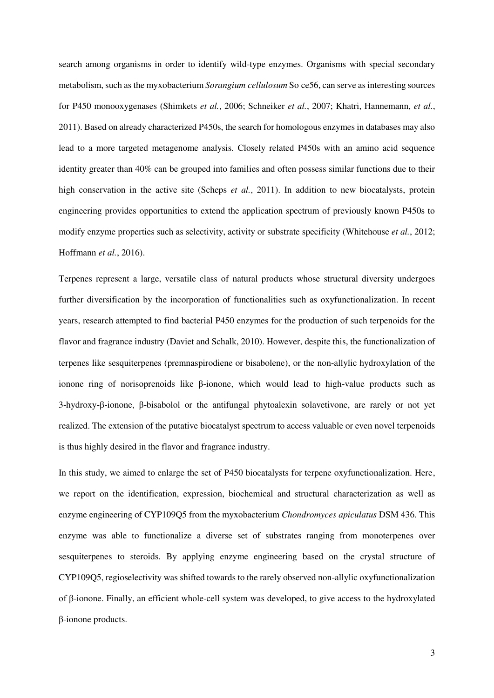search among organisms in order to identify wild-type enzymes. Organisms with special secondary metabolism, such as the myxobacterium *Sorangium cellulosum* So ce56, can serve as interesting sources for P450 monooxygenases (Shimkets *et al.*, 2006; Schneiker *et al.*, 2007; Khatri, Hannemann, *et al.*, 2011). Based on already characterized P450s, the search for homologous enzymes in databases may also lead to a more targeted metagenome analysis. Closely related P450s with an amino acid sequence identity greater than 40% can be grouped into families and often possess similar functions due to their high conservation in the active site (Scheps *et al.*, 2011). In addition to new biocatalysts, protein engineering provides opportunities to extend the application spectrum of previously known P450s to modify enzyme properties such as selectivity, activity or substrate specificity (Whitehouse *et al.*, 2012; Hoffmann *et al.*, 2016).

Terpenes represent a large, versatile class of natural products whose structural diversity undergoes further diversification by the incorporation of functionalities such as oxyfunctionalization. In recent years, research attempted to find bacterial P450 enzymes for the production of such terpenoids for the flavor and fragrance industry (Daviet and Schalk, 2010). However, despite this, the functionalization of terpenes like sesquiterpenes (premnaspirodiene or bisabolene), or the non-allylic hydroxylation of the ionone ring of norisoprenoids like β-ionone, which would lead to high-value products such as 3-hydroxy-β-ionone, β-bisabolol or the antifungal phytoalexin solavetivone, are rarely or not yet realized. The extension of the putative biocatalyst spectrum to access valuable or even novel terpenoids is thus highly desired in the flavor and fragrance industry.

In this study, we aimed to enlarge the set of P450 biocatalysts for terpene oxyfunctionalization. Here, we report on the identification, expression, biochemical and structural characterization as well as enzyme engineering of CYP109Q5 from the myxobacterium *Chondromyces apiculatus* DSM 436. This enzyme was able to functionalize a diverse set of substrates ranging from monoterpenes over sesquiterpenes to steroids. By applying enzyme engineering based on the crystal structure of CYP109Q5, regioselectivity was shifted towards to the rarely observed non-allylic oxyfunctionalization of β-ionone. Finally, an efficient whole-cell system was developed, to give access to the hydroxylated β-ionone products.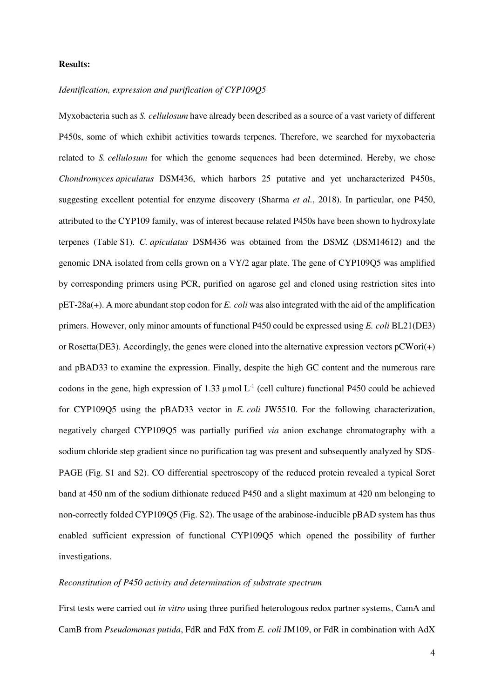# **Results:**

## *Identification, expression and purification of CYP109Q5*

Myxobacteria such as *S. cellulosum* have already been described as a source of a vast variety of different P450s, some of which exhibit activities towards terpenes. Therefore, we searched for myxobacteria related to *S. cellulosum* for which the genome sequences had been determined. Hereby, we chose *Chondromyces apiculatus* DSM436, which harbors 25 putative and yet uncharacterized P450s, suggesting excellent potential for enzyme discovery (Sharma *et al.*, 2018). In particular, one P450, attributed to the CYP109 family, was of interest because related P450s have been shown to hydroxylate terpenes (Table S1). *C. apiculatus* DSM436 was obtained from the DSMZ (DSM14612) and the genomic DNA isolated from cells grown on a VY/2 agar plate. The gene of CYP109Q5 was amplified by corresponding primers using PCR, purified on agarose gel and cloned using restriction sites into pET-28a(+). A more abundant stop codon for *E. coli* was also integrated with the aid of the amplification primers. However, only minor amounts of functional P450 could be expressed using *E. coli* BL21(DE3) or Rosetta(DE3). Accordingly, the genes were cloned into the alternative expression vectors  $pCW$ ori(+) and pBAD33 to examine the expression. Finally, despite the high GC content and the numerous rare codons in the gene, high expression of 1.33  $\mu$ mol L<sup>-1</sup> (cell culture) functional P450 could be achieved for CYP109Q5 using the pBAD33 vector in *E. coli* JW5510. For the following characterization, negatively charged CYP109Q5 was partially purified *via* anion exchange chromatography with a sodium chloride step gradient since no purification tag was present and subsequently analyzed by SDS-PAGE (Fig. S1 and S2). CO differential spectroscopy of the reduced protein revealed a typical Soret band at 450 nm of the sodium dithionate reduced P450 and a slight maximum at 420 nm belonging to non-correctly folded CYP109Q5 (Fig. S2). The usage of the arabinose-inducible pBAD system has thus enabled sufficient expression of functional CYP109Q5 which opened the possibility of further investigations.

#### *Reconstitution of P450 activity and determination of substrate spectrum*

First tests were carried out *in vitro* using three purified heterologous redox partner systems, CamA and CamB from *Pseudomonas putida*, FdR and FdX from *E. coli* JM109, or FdR in combination with AdX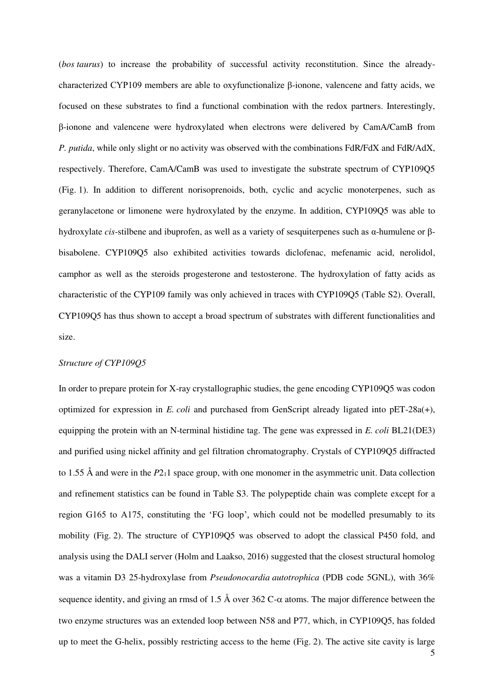(*bos taurus*) to increase the probability of successful activity reconstitution. Since the alreadycharacterized CYP109 members are able to oxyfunctionalize β-ionone, valencene and fatty acids, we focused on these substrates to find a functional combination with the redox partners. Interestingly, β-ionone and valencene were hydroxylated when electrons were delivered by CamA/CamB from *P. putida*, while only slight or no activity was observed with the combinations FdR/FdX and FdR/AdX, respectively. Therefore, CamA/CamB was used to investigate the substrate spectrum of CYP109Q5 (Fig. 1). In addition to different norisoprenoids, both, cyclic and acyclic monoterpenes, such as geranylacetone or limonene were hydroxylated by the enzyme. In addition, CYP109Q5 was able to hydroxylate *cis*-stilbene and ibuprofen, as well as a variety of sesquiterpenes such as α-humulene or βbisabolene. CYP109Q5 also exhibited activities towards diclofenac, mefenamic acid, nerolidol, camphor as well as the steroids progesterone and testosterone. The hydroxylation of fatty acids as characteristic of the CYP109 family was only achieved in traces with CYP109Q5 (Table S2). Overall, CYP109Q5 has thus shown to accept a broad spectrum of substrates with different functionalities and size.

## *Structure of CYP109Q5*

In order to prepare protein for X-ray crystallographic studies, the gene encoding CYP109Q5 was codon optimized for expression in *E. coli* and purchased from GenScript already ligated into pET-28a(+), equipping the protein with an N-terminal histidine tag. The gene was expressed in *E. coli* BL21(DE3) and purified using nickel affinity and gel filtration chromatography. Crystals of CYP109Q5 diffracted to 1.55 Å and were in the *P*211 space group, with one monomer in the asymmetric unit. Data collection and refinement statistics can be found in Table S3. The polypeptide chain was complete except for a region G165 to A175, constituting the 'FG loop', which could not be modelled presumably to its mobility (Fig. 2). The structure of CYP109Q5 was observed to adopt the classical P450 fold, and analysis using the DALI server (Holm and Laakso, 2016) suggested that the closest structural homolog was a vitamin D3 25-hydroxylase from *Pseudonocardia autotrophica* (PDB code 5GNL), with 36% sequence identity, and giving an rmsd of 1.5 Å over 362 C- $\alpha$  atoms. The major difference between the two enzyme structures was an extended loop between N58 and P77, which, in CYP109Q5, has folded up to meet the G-helix, possibly restricting access to the heme (Fig. 2). The active site cavity is large

5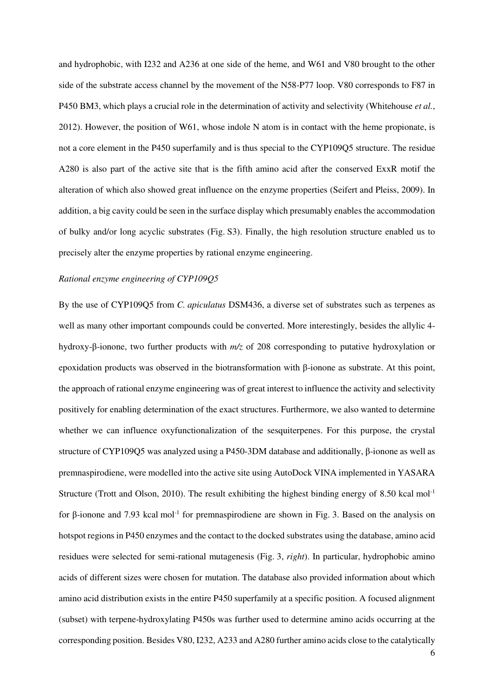and hydrophobic, with I232 and A236 at one side of the heme, and W61 and V80 brought to the other side of the substrate access channel by the movement of the N58-P77 loop. V80 corresponds to F87 in P450 BM3, which plays a crucial role in the determination of activity and selectivity (Whitehouse *et al.*, 2012). However, the position of W61, whose indole N atom is in contact with the heme propionate, is not a core element in the P450 superfamily and is thus special to the CYP109Q5 structure. The residue A280 is also part of the active site that is the fifth amino acid after the conserved ExxR motif the alteration of which also showed great influence on the enzyme properties (Seifert and Pleiss, 2009). In addition, a big cavity could be seen in the surface display which presumably enables the accommodation of bulky and/or long acyclic substrates (Fig. S3). Finally, the high resolution structure enabled us to precisely alter the enzyme properties by rational enzyme engineering.

## *Rational enzyme engineering of CYP109Q5*

By the use of CYP109Q5 from *C. apiculatus* DSM436, a diverse set of substrates such as terpenes as well as many other important compounds could be converted. More interestingly, besides the allylic 4 hydroxy-β-ionone, two further products with *m/z* of 208 corresponding to putative hydroxylation or epoxidation products was observed in the biotransformation with β-ionone as substrate. At this point, the approach of rational enzyme engineering was of great interest to influence the activity and selectivity positively for enabling determination of the exact structures. Furthermore, we also wanted to determine whether we can influence oxyfunctionalization of the sesquiterpenes. For this purpose, the crystal structure of CYP109Q5 was analyzed using a P450-3DM database and additionally, β-ionone as well as premnaspirodiene, were modelled into the active site using AutoDock VINA implemented in YASARA Structure (Trott and Olson, 2010). The result exhibiting the highest binding energy of 8.50 kcal mol<sup>-1</sup> for β-ionone and 7.93 kcal mol-1 for premnaspirodiene are shown in Fig. 3. Based on the analysis on hotspot regions in P450 enzymes and the contact to the docked substrates using the database, amino acid residues were selected for semi-rational mutagenesis (Fig. 3, *right*). In particular, hydrophobic amino acids of different sizes were chosen for mutation. The database also provided information about which amino acid distribution exists in the entire P450 superfamily at a specific position. A focused alignment (subset) with terpene-hydroxylating P450s was further used to determine amino acids occurring at the corresponding position. Besides V80, I232, A233 and A280 further amino acids close to the catalytically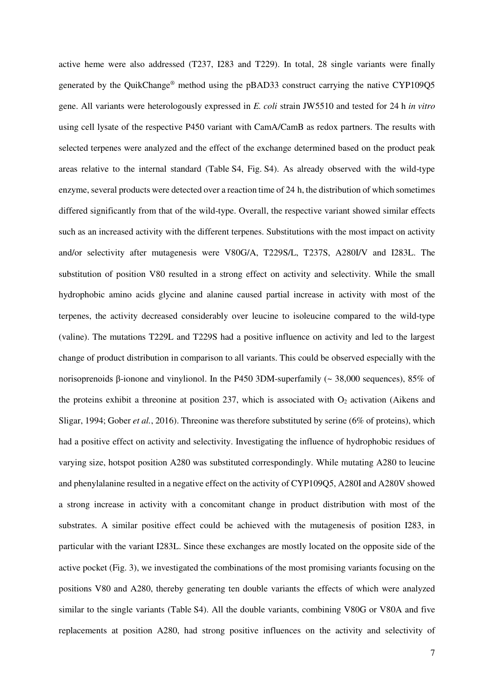active heme were also addressed (T237, I283 and T229). In total, 28 single variants were finally generated by the QuikChange® method using the pBAD33 construct carrying the native CYP109Q5 gene. All variants were heterologously expressed in *E. coli* strain JW5510 and tested for 24 h *in vitro* using cell lysate of the respective P450 variant with CamA/CamB as redox partners. The results with selected terpenes were analyzed and the effect of the exchange determined based on the product peak areas relative to the internal standard (Table S4, Fig. S4). As already observed with the wild-type enzyme, several products were detected over a reaction time of 24 h, the distribution of which sometimes differed significantly from that of the wild-type. Overall, the respective variant showed similar effects such as an increased activity with the different terpenes. Substitutions with the most impact on activity and/or selectivity after mutagenesis were V80G/A, T229S/L, T237S, A280I/V and I283L. The substitution of position V80 resulted in a strong effect on activity and selectivity. While the small hydrophobic amino acids glycine and alanine caused partial increase in activity with most of the terpenes, the activity decreased considerably over leucine to isoleucine compared to the wild-type (valine). The mutations T229L and T229S had a positive influence on activity and led to the largest change of product distribution in comparison to all variants. This could be observed especially with the norisoprenoids β-ionone and vinylionol. In the P450 3DM-superfamily (~ 38,000 sequences), 85% of the proteins exhibit a threonine at position 237, which is associated with  $O_2$  activation (Aikens and Sligar, 1994; Gober *et al.*, 2016). Threonine was therefore substituted by serine (6% of proteins), which had a positive effect on activity and selectivity. Investigating the influence of hydrophobic residues of varying size, hotspot position A280 was substituted correspondingly. While mutating A280 to leucine and phenylalanine resulted in a negative effect on the activity of CYP109Q5, A280I and A280V showed a strong increase in activity with a concomitant change in product distribution with most of the substrates. A similar positive effect could be achieved with the mutagenesis of position I283, in particular with the variant I283L. Since these exchanges are mostly located on the opposite side of the active pocket (Fig. 3), we investigated the combinations of the most promising variants focusing on the positions V80 and A280, thereby generating ten double variants the effects of which were analyzed similar to the single variants (Table S4). All the double variants, combining V80G or V80A and five replacements at position A280, had strong positive influences on the activity and selectivity of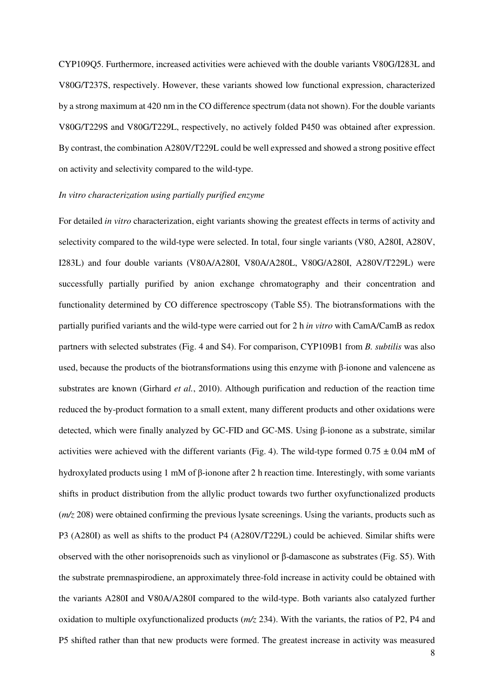CYP109Q5. Furthermore, increased activities were achieved with the double variants V80G/I283L and V80G/T237S, respectively. However, these variants showed low functional expression, characterized by a strong maximum at 420 nm in the CO difference spectrum (data not shown). For the double variants V80G/T229S and V80G/T229L, respectively, no actively folded P450 was obtained after expression. By contrast, the combination A280V/T229L could be well expressed and showed a strong positive effect on activity and selectivity compared to the wild-type.

## *In vitro characterization using partially purified enzyme*

For detailed *in vitro* characterization, eight variants showing the greatest effects in terms of activity and selectivity compared to the wild-type were selected. In total, four single variants (V80, A280I, A280V, I283L) and four double variants (V80A/A280I, V80A/A280L, V80G/A280I, A280V/T229L) were successfully partially purified by anion exchange chromatography and their concentration and functionality determined by CO difference spectroscopy (Table S5). The biotransformations with the partially purified variants and the wild-type were carried out for 2 h *in vitro* with CamA/CamB as redox partners with selected substrates (Fig. 4 and S4). For comparison, CYP109B1 from *B. subtilis* was also used, because the products of the biotransformations using this enzyme with β-ionone and valencene as substrates are known (Girhard *et al.*, 2010). Although purification and reduction of the reaction time reduced the by-product formation to a small extent, many different products and other oxidations were detected, which were finally analyzed by GC-FID and GC-MS. Using β-ionone as a substrate, similar activities were achieved with the different variants (Fig. 4). The wild-type formed  $0.75 \pm 0.04$  mM of hydroxylated products using 1 mM of β-ionone after 2 h reaction time. Interestingly, with some variants shifts in product distribution from the allylic product towards two further oxyfunctionalized products (*m/z* 208) were obtained confirming the previous lysate screenings. Using the variants, products such as P3 (A280I) as well as shifts to the product P4 (A280V/T229L) could be achieved. Similar shifts were observed with the other norisoprenoids such as vinylionol or β-damascone as substrates (Fig. S5). With the substrate premnaspirodiene, an approximately three-fold increase in activity could be obtained with the variants A280I and V80A/A280I compared to the wild-type. Both variants also catalyzed further oxidation to multiple oxyfunctionalized products (*m/z* 234). With the variants, the ratios of P2, P4 and P5 shifted rather than that new products were formed. The greatest increase in activity was measured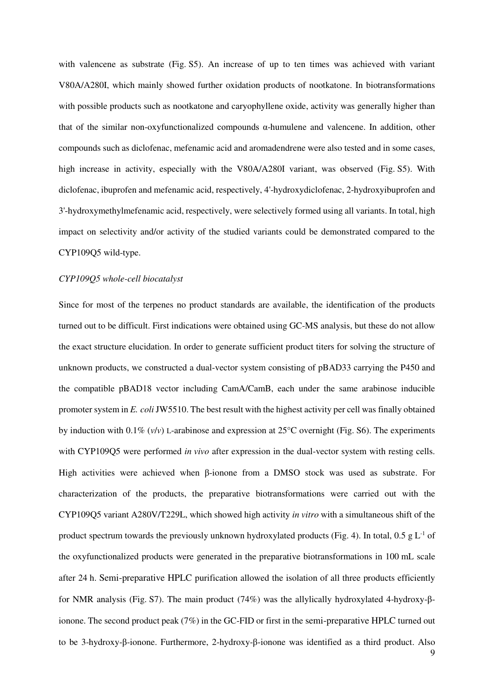with valencene as substrate (Fig. S5). An increase of up to ten times was achieved with variant V80A/A280I, which mainly showed further oxidation products of nootkatone. In biotransformations with possible products such as nootkatone and caryophyllene oxide, activity was generally higher than that of the similar non-oxyfunctionalized compounds α-humulene and valencene. In addition, other compounds such as diclofenac, mefenamic acid and aromadendrene were also tested and in some cases, high increase in activity, especially with the V80A/A280I variant, was observed (Fig. S5). With diclofenac, ibuprofen and mefenamic acid, respectively, 4'-hydroxydiclofenac, 2-hydroxyibuprofen and 3'-hydroxymethylmefenamic acid, respectively, were selectively formed using all variants. In total, high impact on selectivity and/or activity of the studied variants could be demonstrated compared to the CYP109Q5 wild-type.

#### *CYP109Q5 whole-cell biocatalyst*

Since for most of the terpenes no product standards are available, the identification of the products turned out to be difficult. First indications were obtained using GC-MS analysis, but these do not allow the exact structure elucidation. In order to generate sufficient product titers for solving the structure of unknown products, we constructed a dual-vector system consisting of pBAD33 carrying the P450 and the compatible pBAD18 vector including CamA/CamB, each under the same arabinose inducible promoter system in *E. coli* JW5510. The best result with the highest activity per cell was finally obtained by induction with 0.1% (*v*/*v*) L-arabinose and expression at 25°C overnight (Fig. S6). The experiments with CYP109Q5 were performed *in vivo* after expression in the dual-vector system with resting cells. High activities were achieved when β-ionone from a DMSO stock was used as substrate. For characterization of the products, the preparative biotransformations were carried out with the CYP109Q5 variant A280V/T229L, which showed high activity *in vitro* with a simultaneous shift of the product spectrum towards the previously unknown hydroxylated products (Fig. 4). In total, 0.5 g  $L^{-1}$  of the oxyfunctionalized products were generated in the preparative biotransformations in 100 mL scale after 24 h. Semi-preparative HPLC purification allowed the isolation of all three products efficiently for NMR analysis (Fig. S7). The main product (74%) was the allylically hydroxylated 4-hydroxy-βionone. The second product peak (7%) in the GC-FID or first in the semi-preparative HPLC turned out to be 3-hydroxy-β-ionone. Furthermore, 2-hydroxy-β-ionone was identified as a third product. Also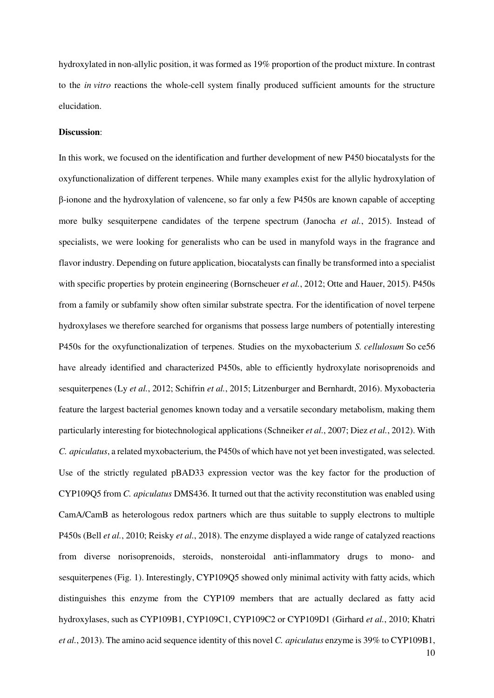hydroxylated in non-allylic position, it was formed as 19% proportion of the product mixture. In contrast to the *in vitro* reactions the whole-cell system finally produced sufficient amounts for the structure elucidation.

## **Discussion**:

In this work, we focused on the identification and further development of new P450 biocatalysts for the oxyfunctionalization of different terpenes. While many examples exist for the allylic hydroxylation of β-ionone and the hydroxylation of valencene, so far only a few P450s are known capable of accepting more bulky sesquiterpene candidates of the terpene spectrum (Janocha *et al.*, 2015). Instead of specialists, we were looking for generalists who can be used in manyfold ways in the fragrance and flavor industry. Depending on future application, biocatalysts can finally be transformed into a specialist with specific properties by protein engineering (Bornscheuer *et al.*, 2012; Otte and Hauer, 2015). P450s from a family or subfamily show often similar substrate spectra. For the identification of novel terpene hydroxylases we therefore searched for organisms that possess large numbers of potentially interesting P450s for the oxyfunctionalization of terpenes. Studies on the myxobacterium *S. cellulosum* So ce56 have already identified and characterized P450s, able to efficiently hydroxylate norisoprenoids and sesquiterpenes (Ly *et al.*, 2012; Schifrin *et al.*, 2015; Litzenburger and Bernhardt, 2016). Myxobacteria feature the largest bacterial genomes known today and a versatile secondary metabolism, making them particularly interesting for biotechnological applications (Schneiker *et al.*, 2007; Diez *et al.*, 2012). With *C. apiculatus*, a related myxobacterium, the P450s of which have not yet been investigated, was selected. Use of the strictly regulated pBAD33 expression vector was the key factor for the production of CYP109Q5 from *C. apiculatus* DMS436. It turned out that the activity reconstitution was enabled using CamA/CamB as heterologous redox partners which are thus suitable to supply electrons to multiple P450s (Bell *et al.*, 2010; Reisky *et al.*, 2018). The enzyme displayed a wide range of catalyzed reactions from diverse norisoprenoids, steroids, nonsteroidal anti-inflammatory drugs to mono- and sesquiterpenes (Fig. 1). Interestingly, CYP109Q5 showed only minimal activity with fatty acids, which distinguishes this enzyme from the CYP109 members that are actually declared as fatty acid hydroxylases, such as CYP109B1, CYP109C1, CYP109C2 or CYP109D1 (Girhard *et al.*, 2010; Khatri *et al.*, 2013). The amino acid sequence identity of this novel *C. apiculatus* enzyme is 39% to CYP109B1,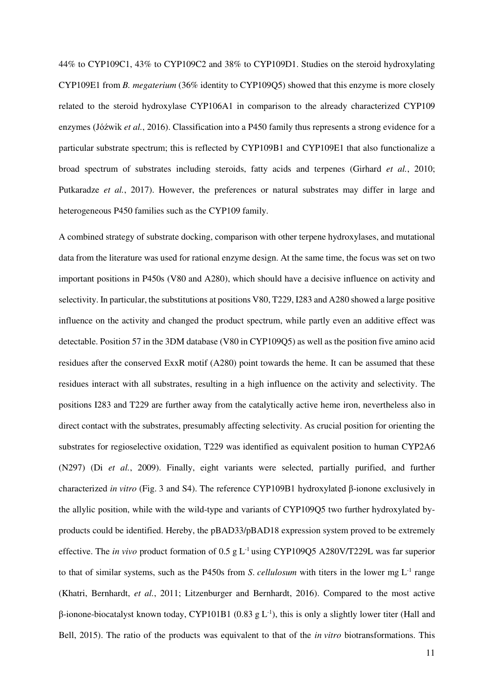44% to CYP109C1, 43% to CYP109C2 and 38% to CYP109D1. Studies on the steroid hydroxylating CYP109E1 from *B. megaterium* (36% identity to CYP109Q5) showed that this enzyme is more closely related to the steroid hydroxylase CYP106A1 in comparison to the already characterized CYP109 enzymes (Jóźwik *et al.*, 2016). Classification into a P450 family thus represents a strong evidence for a particular substrate spectrum; this is reflected by CYP109B1 and CYP109E1 that also functionalize a broad spectrum of substrates including steroids, fatty acids and terpenes (Girhard *et al.*, 2010; Putkaradze *et al.*, 2017). However, the preferences or natural substrates may differ in large and heterogeneous P450 families such as the CYP109 family.

A combined strategy of substrate docking, comparison with other terpene hydroxylases, and mutational data from the literature was used for rational enzyme design. At the same time, the focus was set on two important positions in P450s (V80 and A280), which should have a decisive influence on activity and selectivity. In particular, the substitutions at positions V80, T229, I283 and A280 showed a large positive influence on the activity and changed the product spectrum, while partly even an additive effect was detectable. Position 57 in the 3DM database (V80 in CYP109Q5) as well as the position five amino acid residues after the conserved ExxR motif (A280) point towards the heme. It can be assumed that these residues interact with all substrates, resulting in a high influence on the activity and selectivity. The positions I283 and T229 are further away from the catalytically active heme iron, nevertheless also in direct contact with the substrates, presumably affecting selectivity. As crucial position for orienting the substrates for regioselective oxidation, T229 was identified as equivalent position to human CYP2A6 (N297) (Di *et al.*, 2009). Finally, eight variants were selected, partially purified, and further characterized *in vitro* (Fig. 3 and S4). The reference CYP109B1 hydroxylated β-ionone exclusively in the allylic position, while with the wild-type and variants of CYP109Q5 two further hydroxylated byproducts could be identified. Hereby, the pBAD33/pBAD18 expression system proved to be extremely effective. The *in vivo* product formation of 0.5 g L-1 using CYP109Q5 A280V/T229L was far superior to that of similar systems, such as the P450s from *S*. *cellulosum* with titers in the lower mg L-1 range (Khatri, Bernhardt, *et al.*, 2011; Litzenburger and Bernhardt, 2016). Compared to the most active β-ionone-biocatalyst known today, CYP101B1 (0.83 g L<sup>-1</sup>), this is only a slightly lower titer (Hall and Bell, 2015). The ratio of the products was equivalent to that of the *in vitro* biotransformations. This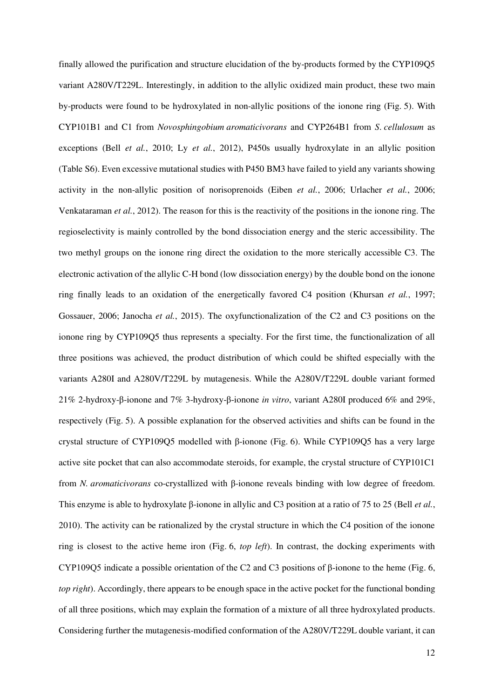finally allowed the purification and structure elucidation of the by-products formed by the CYP109Q5 variant A280V/T229L. Interestingly, in addition to the allylic oxidized main product, these two main by-products were found to be hydroxylated in non-allylic positions of the ionone ring (Fig. 5). With CYP101B1 and C1 from *Novosphingobium aromaticivorans* and CYP264B1 from *S*. *cellulosum* as exceptions (Bell *et al.*, 2010; Ly *et al.*, 2012), P450s usually hydroxylate in an allylic position (Table S6). Even excessive mutational studies with P450 BM3 have failed to yield any variants showing activity in the non-allylic position of norisoprenoids (Eiben *et al.*, 2006; Urlacher *et al.*, 2006; Venkataraman *et al.*, 2012). The reason for this is the reactivity of the positions in the ionone ring. The regioselectivity is mainly controlled by the bond dissociation energy and the steric accessibility. The two methyl groups on the ionone ring direct the oxidation to the more sterically accessible C3. The electronic activation of the allylic C-H bond (low dissociation energy) by the double bond on the ionone ring finally leads to an oxidation of the energetically favored C4 position (Khursan *et al.*, 1997; Gossauer, 2006; Janocha *et al.*, 2015). The oxyfunctionalization of the C2 and C3 positions on the ionone ring by CYP109Q5 thus represents a specialty. For the first time, the functionalization of all three positions was achieved, the product distribution of which could be shifted especially with the variants A280I and A280V/T229L by mutagenesis. While the A280V/T229L double variant formed 21% 2-hydroxy-β-ionone and 7% 3-hydroxy-β-ionone *in vitro*, variant A280I produced 6% and 29%, respectively (Fig. 5). A possible explanation for the observed activities and shifts can be found in the crystal structure of CYP109Q5 modelled with β-ionone (Fig. 6). While CYP109Q5 has a very large active site pocket that can also accommodate steroids, for example, the crystal structure of CYP101C1 from *N. aromaticivorans* co-crystallized with β-ionone reveals binding with low degree of freedom. This enzyme is able to hydroxylate β-ionone in allylic and C3 position at a ratio of 75 to 25 (Bell *et al.*, 2010). The activity can be rationalized by the crystal structure in which the C4 position of the ionone ring is closest to the active heme iron (Fig. 6, *top left*). In contrast, the docking experiments with CYP109Q5 indicate a possible orientation of the C2 and C3 positions of β-ionone to the heme (Fig. 6, *top right*). Accordingly, there appears to be enough space in the active pocket for the functional bonding of all three positions, which may explain the formation of a mixture of all three hydroxylated products. Considering further the mutagenesis-modified conformation of the A280V/T229L double variant, it can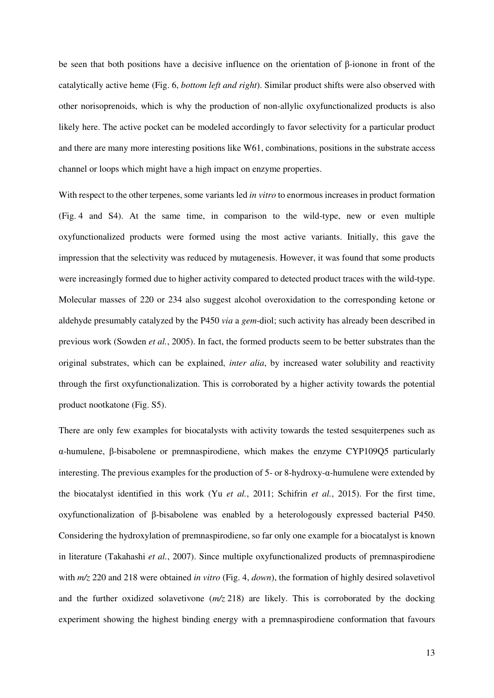be seen that both positions have a decisive influence on the orientation of β-ionone in front of the catalytically active heme (Fig. 6, *bottom left and right*). Similar product shifts were also observed with other norisoprenoids, which is why the production of non-allylic oxyfunctionalized products is also likely here. The active pocket can be modeled accordingly to favor selectivity for a particular product and there are many more interesting positions like W61, combinations, positions in the substrate access channel or loops which might have a high impact on enzyme properties.

With respect to the other terpenes, some variants led *in vitro* to enormous increases in product formation (Fig. 4 and S4). At the same time, in comparison to the wild-type, new or even multiple oxyfunctionalized products were formed using the most active variants. Initially, this gave the impression that the selectivity was reduced by mutagenesis. However, it was found that some products were increasingly formed due to higher activity compared to detected product traces with the wild-type. Molecular masses of 220 or 234 also suggest alcohol overoxidation to the corresponding ketone or aldehyde presumably catalyzed by the P450 *via* a *gem*-diol; such activity has already been described in previous work (Sowden *et al.*, 2005). In fact, the formed products seem to be better substrates than the original substrates, which can be explained, *inter alia*, by increased water solubility and reactivity through the first oxyfunctionalization. This is corroborated by a higher activity towards the potential product nootkatone (Fig. S5).

There are only few examples for biocatalysts with activity towards the tested sesquiterpenes such as α-humulene, β-bisabolene or premnaspirodiene, which makes the enzyme CYP109Q5 particularly interesting. The previous examples for the production of 5- or 8-hydroxy-α-humulene were extended by the biocatalyst identified in this work (Yu *et al.*, 2011; Schifrin *et al.*, 2015). For the first time, oxyfunctionalization of β-bisabolene was enabled by a heterologously expressed bacterial P450. Considering the hydroxylation of premnaspirodiene, so far only one example for a biocatalyst is known in literature (Takahashi *et al.*, 2007). Since multiple oxyfunctionalized products of premnaspirodiene with *m/z* 220 and 218 were obtained *in vitro* (Fig. 4, *down*), the formation of highly desired solavetivol and the further oxidized solavetivone (*m/z* 218) are likely. This is corroborated by the docking experiment showing the highest binding energy with a premnaspirodiene conformation that favours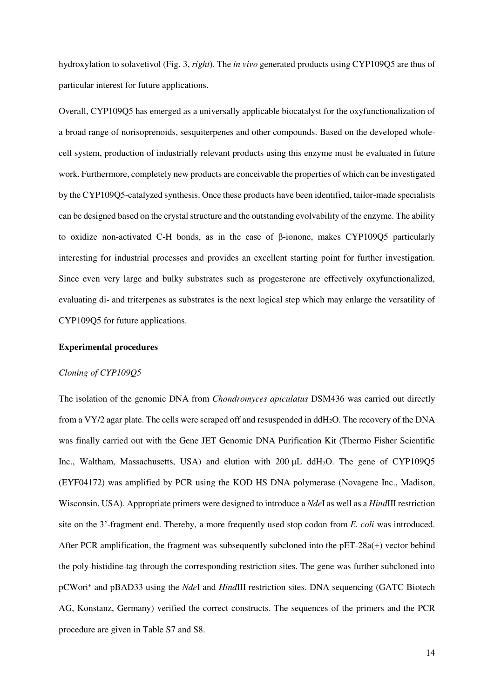hydroxylation to solavetivol (Fig. 3, *right*). The *in vivo* generated products using CYP109Q5 are thus of particular interest for future applications.

Overall, CYP109Q5 has emerged as a universally applicable biocatalyst for the oxyfunctionalization of a broad range of norisoprenoids, sesquiterpenes and other compounds. Based on the developed wholecell system, production of industrially relevant products using this enzyme must be evaluated in future work. Furthermore, completely new products are conceivable the properties of which can be investigated by the CYP109Q5-catalyzed synthesis. Once these products have been identified, tailor-made specialists can be designed based on the crystal structure and the outstanding evolvability of the enzyme. The ability to oxidize non-activated C-H bonds, as in the case of β-ionone, makes CYP109Q5 particularly interesting for industrial processes and provides an excellent starting point for further investigation. Since even very large and bulky substrates such as progesterone are effectively oxyfunctionalized, evaluating di- and triterpenes as substrates is the next logical step which may enlarge the versatility of CYP109Q5 for future applications.

## **Experimental procedures**

#### *Cloning of CYP109Q5*

The isolation of the genomic DNA from *Chondromyces apiculatus* DSM436 was carried out directly from a VY/2 agar plate. The cells were scraped off and resuspended in ddH2O. The recovery of the DNA was finally carried out with the Gene JET Genomic DNA Purification Kit (Thermo Fisher Scientific Inc., Waltham, Massachusetts, USA) and elution with 200 μL ddH2O. The gene of CYP109Q5 (EYF04172) was amplified by PCR using the KOD HS DNA polymerase (Novagene Inc., Madison, Wisconsin, USA). Appropriate primers were designed to introduce a *Nde*I as well as a *Hind*III restriction site on the 3'-fragment end. Thereby, a more frequently used stop codon from *E. coli* was introduced. After PCR amplification, the fragment was subsequently subcloned into the pET-28a(+) vector behind the poly-histidine-tag through the corresponding restriction sites. The gene was further subcloned into pCWori<sup>+</sup> and pBAD33 using the *NdeI* and *HindIII* restriction sites. DNA sequencing (GATC Biotech AG, Konstanz, Germany) verified the correct constructs. The sequences of the primers and the PCR procedure are given in Table S7 and S8.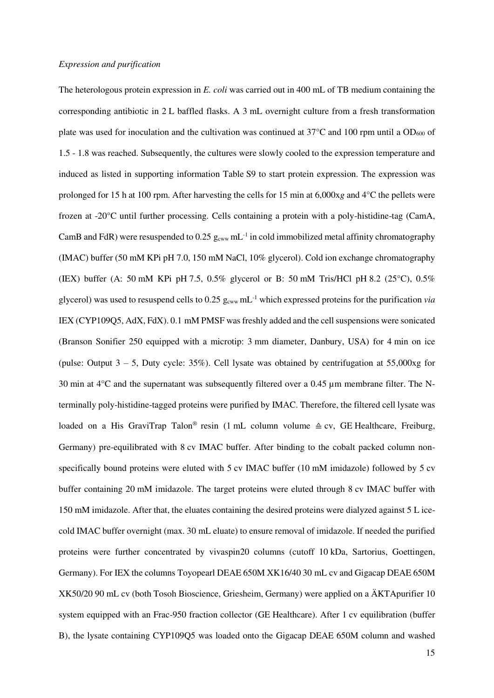## *Expression and purification*

The heterologous protein expression in *E. coli* was carried out in 400 mL of TB medium containing the corresponding antibiotic in 2 L baffled flasks. A 3 mL overnight culture from a fresh transformation plate was used for inoculation and the cultivation was continued at  $37^{\circ}$ C and 100 rpm until a OD<sub>600</sub> of 1.5 - 1.8 was reached. Subsequently, the cultures were slowly cooled to the expression temperature and induced as listed in supporting information Table S9 to start protein expression. The expression was prolonged for 15 h at 100 rpm. After harvesting the cells for 15 min at 6,000x*g* and 4°C the pellets were frozen at -20°C until further processing. Cells containing a protein with a poly-histidine-tag (CamA, CamB and FdR) were resuspended to 0.25  $g_{cww}$  mL<sup>-1</sup> in cold immobilized metal affinity chromatography (IMAC) buffer (50 mM KPi pH 7.0, 150 mM NaCl, 10% glycerol). Cold ion exchange chromatography (IEX) buffer (A: 50 mM KPi pH 7.5, 0.5% glycerol or B: 50 mM Tris/HCl pH 8.2 (25 $^{\circ}$ C), 0.5% glycerol) was used to resuspend cells to  $0.25$   $g_{cww}$  mL<sup>-1</sup> which expressed proteins for the purification *via* IEX (CYP109Q5, AdX, FdX). 0.1 mM PMSF was freshly added and the cell suspensions were sonicated (Branson Sonifier 250 equipped with a microtip: 3 mm diameter, Danbury, USA) for 4 min on ice (pulse: Output  $3 - 5$ , Duty cycle: 35%). Cell lysate was obtained by centrifugation at 55,000xg for 30 min at  $4^{\circ}$ C and the supernatant was subsequently filtered over a 0.45  $\mu$ m membrane filter. The Nterminally poly-histidine-tagged proteins were purified by IMAC. Therefore, the filtered cell lysate was loaded on a His GraviTrap Talon<sup>®</sup> resin (1 mL column volume  $\triangleq$  cv, GE Healthcare, Freiburg, Germany) pre-equilibrated with 8 cv IMAC buffer. After binding to the cobalt packed column nonspecifically bound proteins were eluted with 5 cv IMAC buffer (10 mM imidazole) followed by 5 cv buffer containing 20 mM imidazole. The target proteins were eluted through 8 cv IMAC buffer with 150 mM imidazole. After that, the eluates containing the desired proteins were dialyzed against 5 L icecold IMAC buffer overnight (max. 30 mL eluate) to ensure removal of imidazole. If needed the purified proteins were further concentrated by vivaspin20 columns (cutoff 10 kDa, Sartorius, Goettingen, Germany). For IEX the columns Toyopearl DEAE 650M XK16/40 30 mL cv and Gigacap DEAE 650M XK50/20 90 mL cv (both Tosoh Bioscience, Griesheim, Germany) were applied on a ÄKTApurifier 10 system equipped with an Frac-950 fraction collector (GE Healthcare). After 1 cv equilibration (buffer B), the lysate containing CYP109Q5 was loaded onto the Gigacap DEAE 650M column and washed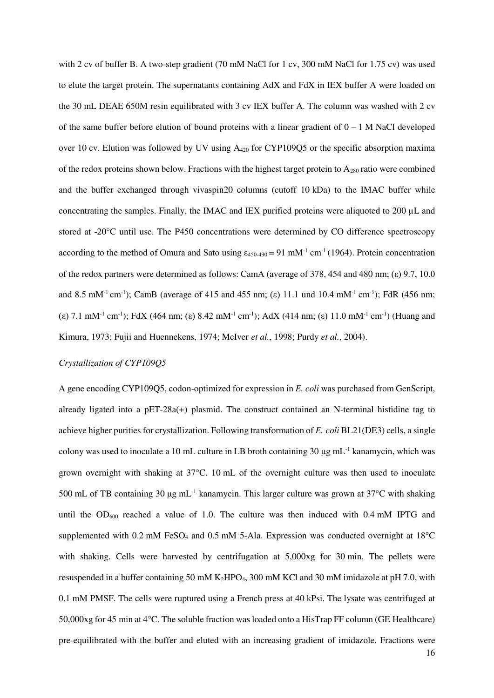with 2 cv of buffer B. A two-step gradient (70 mM NaCl for 1 cv, 300 mM NaCl for 1.75 cv) was used to elute the target protein. The supernatants containing AdX and FdX in IEX buffer A were loaded on the 30 mL DEAE 650M resin equilibrated with 3 cv IEX buffer A. The column was washed with 2 cv of the same buffer before elution of bound proteins with a linear gradient of  $0 - 1$  M NaCl developed over 10 cv. Elution was followed by UV using A420 for CYP109Q5 or the specific absorption maxima of the redox proteins shown below. Fractions with the highest target protein to  $A_{280}$  ratio were combined and the buffer exchanged through vivaspin20 columns (cutoff 10 kDa) to the IMAC buffer while concentrating the samples. Finally, the IMAC and IEX purified proteins were aliquoted to 200 µL and stored at -20°C until use. The P450 concentrations were determined by CO difference spectroscopy according to the method of Omura and Sato using  $\varepsilon_{450-490} = 91 \text{ mM}^{-1} \text{ cm}^{-1}$  (1964). Protein concentration of the redox partners were determined as follows: CamA (average of 378, 454 and 480 nm; (ε) 9.7, 10.0 and 8.5 mM<sup>-1</sup> cm<sup>-1</sup>); CamB (average of 415 and 455 nm; (ε) 11.1 und 10.4 mM<sup>-1</sup> cm<sup>-1</sup>); FdR (456 nm; (ε) 7.1 mM<sup>-1</sup> cm<sup>-1</sup>); FdX (464 nm; (ε) 8.42 mM<sup>-1</sup> cm<sup>-1</sup>); AdX (414 nm; (ε) 11.0 mM<sup>-1</sup> cm<sup>-1</sup>) (Huang and Kimura, 1973; Fujii and Huennekens, 1974; McIver *et al.*, 1998; Purdy *et al.*, 2004).

## *Crystallization of CYP109Q5*

A gene encoding CYP109Q5, codon-optimized for expression in *E. coli* was purchased from GenScript, already ligated into a  $pET-28a(+)$  plasmid. The construct contained an N-terminal histidine tag to achieve higher purities for crystallization. Following transformation of *E. coli* BL21(DE3) cells, a single colony was used to inoculate a 10 mL culture in LB broth containing 30 μg mL<sup>-1</sup> kanamycin, which was grown overnight with shaking at 37°C. 10 mL of the overnight culture was then used to inoculate 500 mL of TB containing 30 μg mL-1 kanamycin. This larger culture was grown at 37°C with shaking until the  $OD_{600}$  reached a value of 1.0. The culture was then induced with 0.4 mM IPTG and supplemented with 0.2 mM FeSO<sub>4</sub> and 0.5 mM 5-Ala. Expression was conducted overnight at  $18^{\circ}$ C with shaking. Cells were harvested by centrifugation at 5,000xg for 30 min. The pellets were resuspended in a buffer containing 50 mM K2HPO4, 300 mM KCl and 30 mM imidazole at pH 7.0, with 0.1 mM PMSF. The cells were ruptured using a French press at 40 kPsi. The lysate was centrifuged at 50,000xg for 45 min at 4°C. The soluble fraction was loaded onto a HisTrap FF column (GE Healthcare) pre-equilibrated with the buffer and eluted with an increasing gradient of imidazole. Fractions were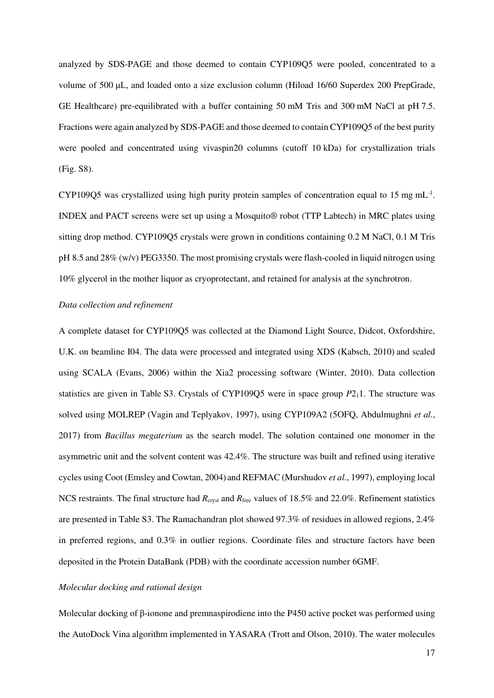analyzed by SDS-PAGE and those deemed to contain CYP109Q5 were pooled, concentrated to a volume of 500 μL, and loaded onto a size exclusion column (Hiload 16/60 Superdex 200 PrepGrade, GE Healthcare) pre-equilibrated with a buffer containing 50 mM Tris and 300 mM NaCl at pH 7.5. Fractions were again analyzed by SDS-PAGE and those deemed to contain CYP109Q5 of the best purity were pooled and concentrated using vivaspin20 columns (cutoff 10 kDa) for crystallization trials (Fig. S8).

CYP109Q5 was crystallized using high purity protein samples of concentration equal to 15 mg mL<sup>-1</sup>. INDEX and PACT screens were set up using a Mosquito® robot (TTP Labtech) in MRC plates using sitting drop method. CYP109Q5 crystals were grown in conditions containing 0.2 M NaCl, 0.1 M Tris pH 8.5 and 28% (w/v) PEG3350. The most promising crystals were flash-cooled in liquid nitrogen using 10% glycerol in the mother liquor as cryoprotectant, and retained for analysis at the synchrotron.

#### *Data collection and refinement*

A complete dataset for CYP109Q5 was collected at the Diamond Light Source, Didcot, Oxfordshire, U.K. on beamline I04. The data were processed and integrated using XDS (Kabsch, 2010) and scaled using SCALA (Evans, 2006) within the Xia2 processing software (Winter, 2010). Data collection statistics are given in Table S3. Crystals of CYP109Q5 were in space group *P*211. The structure was solved using MOLREP (Vagin and Teplyakov, 1997), using CYP109A2 (5OFQ, Abdulmughni *et al.*, 2017) from *Bacillus megaterium* as the search model. The solution contained one monomer in the asymmetric unit and the solvent content was 42.4%. The structure was built and refined using iterative cycles using Coot (Emsley and Cowtan, 2004) and REFMAC (Murshudov *et al.*, 1997), employing local NCS restraints. The final structure had *R*<sub>cryst</sub> and *R*<sub>free</sub> values of 18.5% and 22.0%. Refinement statistics are presented in Table S3. The Ramachandran plot showed 97.3% of residues in allowed regions, 2.4% in preferred regions, and 0.3% in outlier regions. Coordinate files and structure factors have been deposited in the Protein DataBank (PDB) with the coordinate accession number 6GMF.

# *Molecular docking and rational design*

Molecular docking of β-ionone and premnaspirodiene into the P450 active pocket was performed using the AutoDock Vina algorithm implemented in YASARA (Trott and Olson, 2010). The water molecules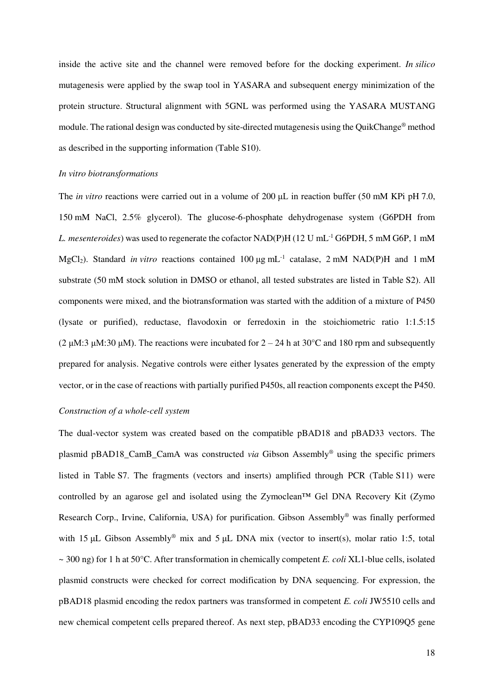inside the active site and the channel were removed before for the docking experiment. *In silico* mutagenesis were applied by the swap tool in YASARA and subsequent energy minimization of the protein structure. Structural alignment with 5GNL was performed using the YASARA MUSTANG module. The rational design was conducted by site-directed mutagenesis using the QuikChange® method as described in the supporting information (Table S10).

#### *In vitro biotransformations*

The *in vitro* reactions were carried out in a volume of 200 μL in reaction buffer (50 mM KPi pH 7.0, 150 mM NaCl, 2.5% glycerol). The glucose-6-phosphate dehydrogenase system (G6PDH from *L. mesenteroides*) was used to regenerate the cofactor NAD(P)H (12 U mL-1 G6PDH, 5 mM G6P, 1 mM MgCl2). Standard *in vitro* reactions contained 100 μg mL-1 catalase, 2 mM NAD(P)H and 1 mM substrate (50 mM stock solution in DMSO or ethanol, all tested substrates are listed in Table S2). All components were mixed, and the biotransformation was started with the addition of a mixture of P450 (lysate or purified), reductase, flavodoxin or ferredoxin in the stoichiometric ratio 1:1.5:15 (2 μM:3 μM:30 μM). The reactions were incubated for  $2 - 24$  h at 30°C and 180 rpm and subsequently prepared for analysis. Negative controls were either lysates generated by the expression of the empty vector, or in the case of reactions with partially purified P450s, all reaction components except the P450.

#### *Construction of a whole-cell system*

The dual-vector system was created based on the compatible pBAD18 and pBAD33 vectors. The plasmid pBAD18\_CamB\_CamA was constructed *via* Gibson Assembly® using the specific primers listed in Table S7. The fragments (vectors and inserts) amplified through PCR (Table S11) were controlled by an agarose gel and isolated using the Zymoclean™ Gel DNA Recovery Kit (Zymo Research Corp., Irvine, California, USA) for purification. Gibson Assembly® was finally performed with 15 μL Gibson Assembly<sup>®</sup> mix and 5 μL DNA mix (vector to insert(s), molar ratio 1:5, total ~ 300 ng) for 1 h at 50°C. After transformation in chemically competent *E. coli* XL1-blue cells, isolated plasmid constructs were checked for correct modification by DNA sequencing. For expression, the pBAD18 plasmid encoding the redox partners was transformed in competent *E. coli* JW5510 cells and new chemical competent cells prepared thereof. As next step, pBAD33 encoding the CYP109Q5 gene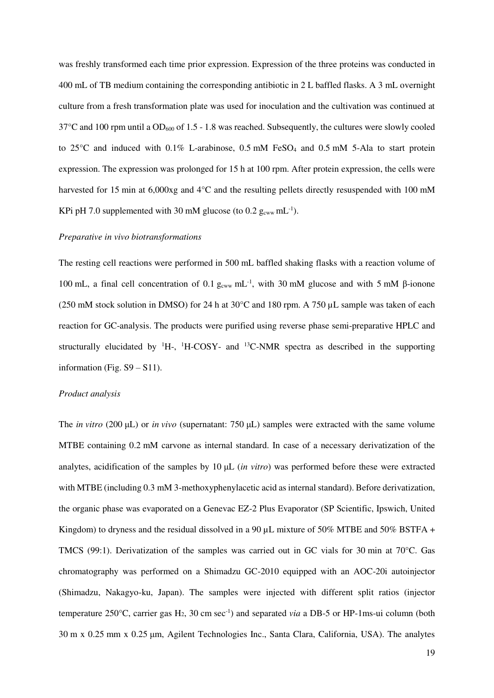was freshly transformed each time prior expression. Expression of the three proteins was conducted in 400 mL of TB medium containing the corresponding antibiotic in 2 L baffled flasks. A 3 mL overnight culture from a fresh transformation plate was used for inoculation and the cultivation was continued at  $37^{\circ}$ C and 100 rpm until a OD<sub>600</sub> of 1.5 - 1.8 was reached. Subsequently, the cultures were slowly cooled to  $25^{\circ}$ C and induced with  $0.1\%$  L-arabinose,  $0.5$  mM FeSO<sub>4</sub> and  $0.5$  mM 5-Ala to start protein expression. The expression was prolonged for 15 h at 100 rpm. After protein expression, the cells were harvested for 15 min at 6,000xg and 4°C and the resulting pellets directly resuspended with 100 mM KPi pH 7.0 supplemented with 30 mM glucose (to  $0.2$  g<sub>cww</sub> mL<sup>-1</sup>).

#### *Preparative in vivo biotransformations*

The resting cell reactions were performed in 500 mL baffled shaking flasks with a reaction volume of 100 mL, a final cell concentration of 0.1  $g_{cww}$  mL<sup>-1</sup>, with 30 mM glucose and with 5 mM β-ionone (250 mM stock solution in DMSO) for 24 h at 30°C and 180 rpm. A 750 µL sample was taken of each reaction for GC-analysis. The products were purified using reverse phase semi-preparative HPLC and structurally elucidated by  $H$ -,  $H$ -COSY- and  $H$ <sup>13</sup>C-NMR spectra as described in the supporting information (Fig.  $S9 - S11$ ).

#### *Product analysis*

The *in vitro* (200 μL) or *in vivo* (supernatant: 750 μL) samples were extracted with the same volume MTBE containing 0.2 mM carvone as internal standard. In case of a necessary derivatization of the analytes, acidification of the samples by 10 μL (*in vitro*) was performed before these were extracted with MTBE (including 0.3 mM 3-methoxyphenylacetic acid as internal standard). Before derivatization, the organic phase was evaporated on a Genevac EZ-2 Plus Evaporator (SP Scientific, Ipswich, United Kingdom) to dryness and the residual dissolved in a 90 µL mixture of 50% MTBE and 50% BSTFA + TMCS (99:1). Derivatization of the samples was carried out in GC vials for 30 min at 70°C. Gas chromatography was performed on a Shimadzu GC-2010 equipped with an AOC-20i autoinjector (Shimadzu, Nakagyo-ku, Japan). The samples were injected with different split ratios (injector temperature 250°C, carrier gas H2, 30 cm sec-1) and separated *via* a DB-5 or HP-1ms-ui column (both 30 m x 0.25 mm x 0.25 μm, Agilent Technologies Inc., Santa Clara, California, USA). The analytes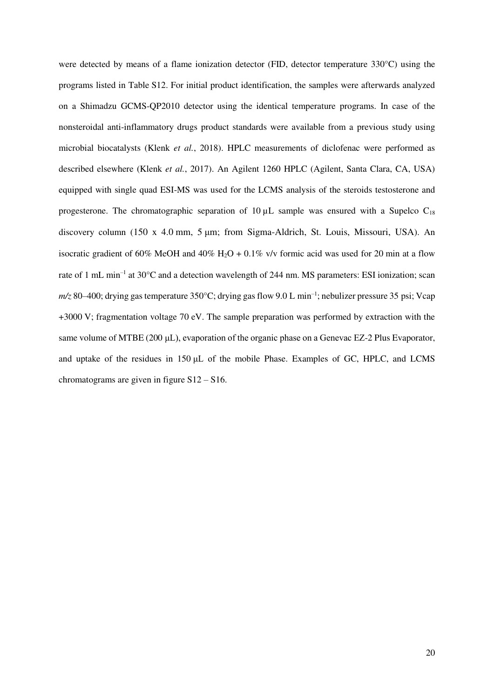were detected by means of a flame ionization detector (FID, detector temperature 330°C) using the programs listed in Table S12. For initial product identification, the samples were afterwards analyzed on a Shimadzu GCMS-QP2010 detector using the identical temperature programs. In case of the nonsteroidal anti-inflammatory drugs product standards were available from a previous study using microbial biocatalysts (Klenk *et al.*, 2018). HPLC measurements of diclofenac were performed as described elsewhere (Klenk *et al.*, 2017). An Agilent 1260 HPLC (Agilent, Santa Clara, CA, USA) equipped with single quad ESI-MS was used for the LCMS analysis of the steroids testosterone and progesterone. The chromatographic separation of  $10 \mu$ L sample was ensured with a Supelco C<sub>18</sub> discovery column (150 x 4.0 mm, 5 um; from Sigma-Aldrich, St. Louis, Missouri, USA). An isocratic gradient of 60% MeOH and 40% H<sub>2</sub>O + 0.1% v/v formic acid was used for 20 min at a flow rate of 1 mL min<sup>-1</sup> at 30°C and a detection wavelength of 244 nm. MS parameters: ESI ionization; scan m/z 80–400; drying gas temperature 350°C; drying gas flow 9.0 L min<sup>-1</sup>; nebulizer pressure 35 psi; Vcap +3000 V; fragmentation voltage 70 eV. The sample preparation was performed by extraction with the same volume of MTBE (200 μL), evaporation of the organic phase on a Genevac EZ-2 Plus Evaporator, and uptake of the residues in 150 μL of the mobile Phase. Examples of GC, HPLC, and LCMS chromatograms are given in figure S12 – S16.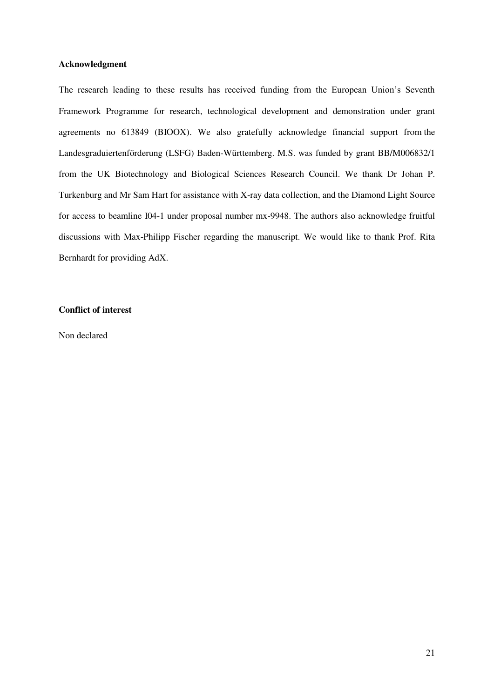## **Acknowledgment**

The research leading to these results has received funding from the European Union's Seventh Framework Programme for research, technological development and demonstration under grant agreements no 613849 (BIOOX). We also gratefully acknowledge financial support from the Landesgraduiertenförderung (LSFG) Baden-Württemberg. M.S. was funded by grant BB/M006832/1 from the UK Biotechnology and Biological Sciences Research Council. We thank Dr Johan P. Turkenburg and Mr Sam Hart for assistance with X-ray data collection, and the Diamond Light Source for access to beamline I04-1 under proposal number mx-9948. The authors also acknowledge fruitful discussions with Max-Philipp Fischer regarding the manuscript. We would like to thank Prof. Rita Bernhardt for providing AdX.

## **Conflict of interest**

Non declared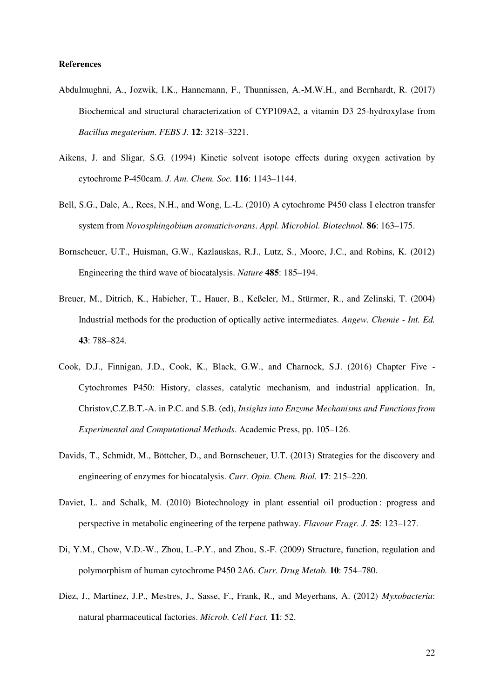## **References**

- Abdulmughni, A., Jozwik, I.K., Hannemann, F., Thunnissen, A.-M.W.H., and Bernhardt, R. (2017) Biochemical and structural characterization of CYP109A2, a vitamin D3 25-hydroxylase from *Bacillus megaterium*. *FEBS J.* **12**: 3218–3221.
- Aikens, J. and Sligar, S.G. (1994) Kinetic solvent isotope effects during oxygen activation by cytochrome P-450cam. *J. Am. Chem. Soc.* **116**: 1143–1144.
- Bell, S.G., Dale, A., Rees, N.H., and Wong, L.-L. (2010) A cytochrome P450 class I electron transfer system from *Novosphingobium aromaticivorans*. *Appl. Microbiol. Biotechnol.* **86**: 163–175.
- Bornscheuer, U.T., Huisman, G.W., Kazlauskas, R.J., Lutz, S., Moore, J.C., and Robins, K. (2012) Engineering the third wave of biocatalysis. *Nature* **485**: 185–194.
- Breuer, M., Ditrich, K., Habicher, T., Hauer, B., Keßeler, M., Stürmer, R., and Zelinski, T. (2004) Industrial methods for the production of optically active intermediates. *Angew. Chemie - Int. Ed.* **43**: 788–824.
- Cook, D.J., Finnigan, J.D., Cook, K., Black, G.W., and Charnock, S.J. (2016) Chapter Five Cytochromes P450: History, classes, catalytic mechanism, and industrial application. In, Christov,C.Z.B.T.-A. in P.C. and S.B. (ed), *Insights into Enzyme Mechanisms and Functions from Experimental and Computational Methods*. Academic Press, pp. 105–126.
- Davids, T., Schmidt, M., Böttcher, D., and Bornscheuer, U.T. (2013) Strategies for the discovery and engineering of enzymes for biocatalysis. *Curr. Opin. Chem. Biol.* **17**: 215–220.
- Daviet, L. and Schalk, M. (2010) Biotechnology in plant essential oil production : progress and perspective in metabolic engineering of the terpene pathway. *Flavour Fragr. J.* **25**: 123–127.
- Di, Y.M., Chow, V.D.-W., Zhou, L.-P.Y., and Zhou, S.-F. (2009) Structure, function, regulation and polymorphism of human cytochrome P450 2A6. *Curr. Drug Metab.* **10**: 754–780.
- Diez, J., Martinez, J.P., Mestres, J., Sasse, F., Frank, R., and Meyerhans, A. (2012) *Myxobacteria*: natural pharmaceutical factories. *Microb. Cell Fact.* **11**: 52.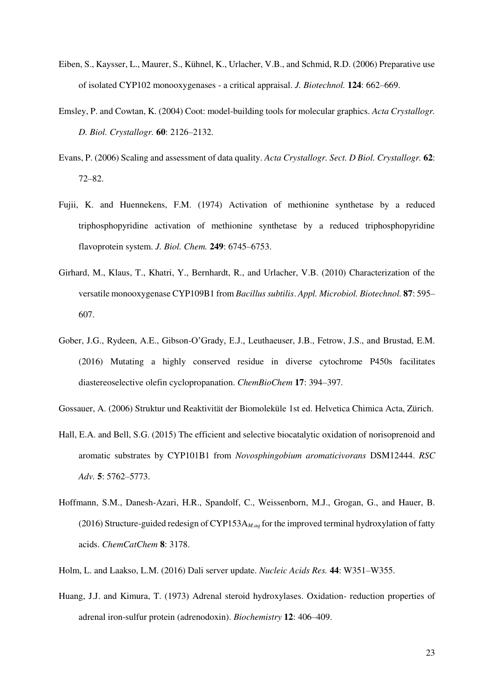- Eiben, S., Kaysser, L., Maurer, S., Kühnel, K., Urlacher, V.B., and Schmid, R.D. (2006) Preparative use of isolated CYP102 monooxygenases - a critical appraisal. *J. Biotechnol.* **124**: 662–669.
- Emsley, P. and Cowtan, K. (2004) Coot: model-building tools for molecular graphics. *Acta Crystallogr. D. Biol. Crystallogr.* **60**: 2126–2132.
- Evans, P. (2006) Scaling and assessment of data quality. *Acta Crystallogr. Sect. D Biol. Crystallogr.* **62**: 72–82.
- Fujii, K. and Huennekens, F.M. (1974) Activation of methionine synthetase by a reduced triphosphopyridine activation of methionine synthetase by a reduced triphosphopyridine flavoprotein system. *J. Biol. Chem.* **249**: 6745–6753.
- Girhard, M., Klaus, T., Khatri, Y., Bernhardt, R., and Urlacher, V.B. (2010) Characterization of the versatile monooxygenase CYP109B1 from *Bacillus subtilis*. *Appl. Microbiol. Biotechnol.* **87**: 595– 607.
- Gober, J.G., Rydeen, A.E., Gibson-O'Grady, E.J., Leuthaeuser, J.B., Fetrow, J.S., and Brustad, E.M. (2016) Mutating a highly conserved residue in diverse cytochrome P450s facilitates diastereoselective olefin cyclopropanation. *ChemBioChem* **17**: 394–397.

Gossauer, A. (2006) Struktur und Reaktivität der Biomoleküle 1st ed. Helvetica Chimica Acta, Zürich.

- Hall, E.A. and Bell, S.G. (2015) The efficient and selective biocatalytic oxidation of norisoprenoid and aromatic substrates by CYP101B1 from *Novosphingobium aromaticivorans* DSM12444. *RSC Adv.* **5**: 5762–5773.
- Hoffmann, S.M., Danesh-Azari, H.R., Spandolf, C., Weissenborn, M.J., Grogan, G., and Hauer, B. (2016) Structure-guided redesign of CYP153A*M.aq* for the improved terminal hydroxylation of fatty acids. *ChemCatChem* **8**: 3178.
- Holm, L. and Laakso, L.M. (2016) Dali server update. *Nucleic Acids Res.* **44**: W351–W355.
- Huang, J.J. and Kimura, T. (1973) Adrenal steroid hydroxylases. Oxidation- reduction properties of adrenal iron-sulfur protein (adrenodoxin). *Biochemistry* **12**: 406–409.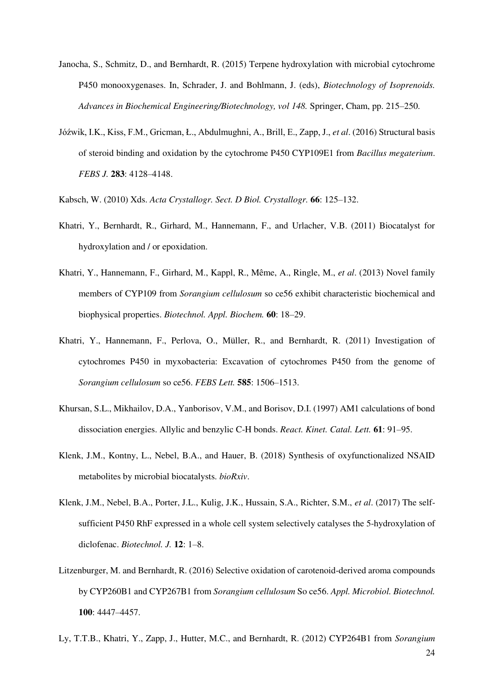- Janocha, S., Schmitz, D., and Bernhardt, R. (2015) Terpene hydroxylation with microbial cytochrome P450 monooxygenases. In, Schrader, J. and Bohlmann, J. (eds), *Biotechnology of Isoprenoids. Advances in Biochemical Engineering/Biotechnology, vol 148.* Springer, Cham, pp. 215–250.
- Jóźwik, I.K., Kiss, F.M., Gricman, Ł., Abdulmughni, A., Brill, E., Zapp, J., *et al*. (2016) Structural basis of steroid binding and oxidation by the cytochrome P450 CYP109E1 from *Bacillus megaterium*. *FEBS J.* **283**: 4128–4148.
- Kabsch, W. (2010) Xds. *Acta Crystallogr. Sect. D Biol. Crystallogr.* **66**: 125–132.
- Khatri, Y., Bernhardt, R., Girhard, M., Hannemann, F., and Urlacher, V.B. (2011) Biocatalyst for hydroxylation and / or epoxidation.
- Khatri, Y., Hannemann, F., Girhard, M., Kappl, R., Même, A., Ringle, M., *et al*. (2013) Novel family members of CYP109 from *Sorangium cellulosum* so ce56 exhibit characteristic biochemical and biophysical properties. *Biotechnol. Appl. Biochem.* **60**: 18–29.
- Khatri, Y., Hannemann, F., Perlova, O., Müller, R., and Bernhardt, R. (2011) Investigation of cytochromes P450 in myxobacteria: Excavation of cytochromes P450 from the genome of *Sorangium cellulosum* so ce56. *FEBS Lett.* **585**: 1506–1513.
- Khursan, S.L., Mikhailov, D.A., Yanborisov, V.M., and Borisov, D.I. (1997) AM1 calculations of bond dissociation energies. Allylic and benzylic C-H bonds. *React. Kinet. Catal. Lett.* **61**: 91–95.
- Klenk, J.M., Kontny, L., Nebel, B.A., and Hauer, B. (2018) Synthesis of oxyfunctionalized NSAID metabolites by microbial biocatalysts. *bioRxiv*.
- Klenk, J.M., Nebel, B.A., Porter, J.L., Kulig, J.K., Hussain, S.A., Richter, S.M., *et al*. (2017) The selfsufficient P450 RhF expressed in a whole cell system selectively catalyses the 5-hydroxylation of diclofenac. *Biotechnol. J.* **12**: 1–8.
- Litzenburger, M. and Bernhardt, R. (2016) Selective oxidation of carotenoid-derived aroma compounds by CYP260B1 and CYP267B1 from *Sorangium cellulosum* So ce56. *Appl. Microbiol. Biotechnol.* **100**: 4447–4457.
- 24 Ly, T.T.B., Khatri, Y., Zapp, J., Hutter, M.C., and Bernhardt, R. (2012) CYP264B1 from *Sorangium*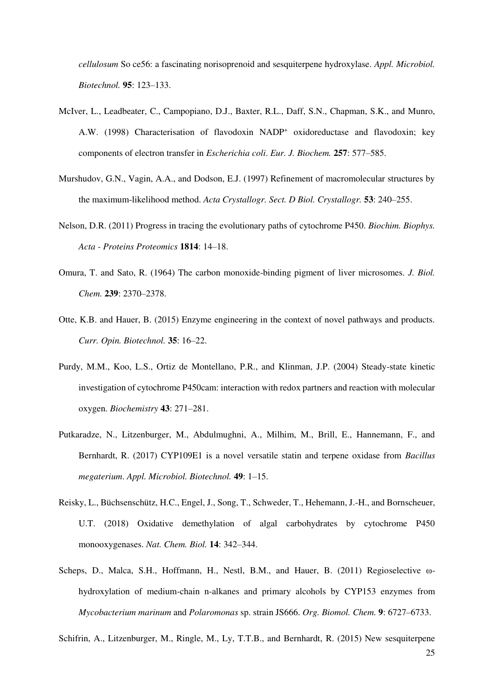*cellulosum* So ce56: a fascinating norisoprenoid and sesquiterpene hydroxylase. *Appl. Microbiol. Biotechnol.* **95**: 123–133.

- McIver, L., Leadbeater, C., Campopiano, D.J., Baxter, R.L., Daff, S.N., Chapman, S.K., and Munro, A.W. (1998) Characterisation of flavodoxin NADP<sup>+</sup> oxidoreductase and flavodoxin; key components of electron transfer in *Escherichia coli*. *Eur. J. Biochem.* **257**: 577–585.
- Murshudov, G.N., Vagin, A.A., and Dodson, E.J. (1997) Refinement of macromolecular structures by the maximum-likelihood method. *Acta Crystallogr. Sect. D Biol. Crystallogr.* **53**: 240–255.
- Nelson, D.R. (2011) Progress in tracing the evolutionary paths of cytochrome P450. *Biochim. Biophys. Acta - Proteins Proteomics* **1814**: 14–18.
- Omura, T. and Sato, R. (1964) The carbon monoxide-binding pigment of liver microsomes. *J. Biol. Chem.* **239**: 2370–2378.
- Otte, K.B. and Hauer, B. (2015) Enzyme engineering in the context of novel pathways and products. *Curr. Opin. Biotechnol.* **35**: 16–22.
- Purdy, M.M., Koo, L.S., Ortiz de Montellano, P.R., and Klinman, J.P. (2004) Steady-state kinetic investigation of cytochrome P450cam: interaction with redox partners and reaction with molecular oxygen. *Biochemistry* **43**: 271–281.
- Putkaradze, N., Litzenburger, M., Abdulmughni, A., Milhim, M., Brill, E., Hannemann, F., and Bernhardt, R. (2017) CYP109E1 is a novel versatile statin and terpene oxidase from *Bacillus megaterium*. *Appl. Microbiol. Biotechnol.* **49**: 1–15.
- Reisky, L., Büchsenschütz, H.C., Engel, J., Song, T., Schweder, T., Hehemann, J.-H., and Bornscheuer, U.T. (2018) Oxidative demethylation of algal carbohydrates by cytochrome P450 monooxygenases. *Nat. Chem. Biol.* **14**: 342–344.
- Scheps, D., Malca, S.H., Hoffmann, H., Nestl, B.M., and Hauer, B. (2011) Regioselective ωhydroxylation of medium-chain n-alkanes and primary alcohols by CYP153 enzymes from *Mycobacterium marinum* and *Polaromonas* sp. strain JS666. *Org. Biomol. Chem.* **9**: 6727–6733.
- Schifrin, A., Litzenburger, M., Ringle, M., Ly, T.T.B., and Bernhardt, R. (2015) New sesquiterpene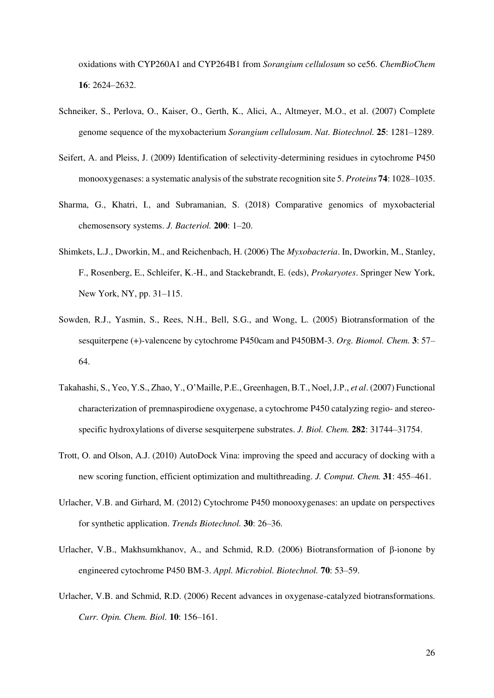oxidations with CYP260A1 and CYP264B1 from *Sorangium cellulosum* so ce56. *ChemBioChem* **16**: 2624–2632.

- Schneiker, S., Perlova, O., Kaiser, O., Gerth, K., Alici, A., Altmeyer, M.O., et al. (2007) Complete genome sequence of the myxobacterium *Sorangium cellulosum*. *Nat. Biotechnol.* **25**: 1281–1289.
- Seifert, A. and Pleiss, J. (2009) Identification of selectivity-determining residues in cytochrome P450 monooxygenases: a systematic analysis of the substrate recognition site 5. *Proteins* **74**: 1028–1035.
- Sharma, G., Khatri, I., and Subramanian, S. (2018) Comparative genomics of myxobacterial chemosensory systems. *J. Bacteriol.* **200**: 1–20.
- Shimkets, L.J., Dworkin, M., and Reichenbach, H. (2006) The *Myxobacteria*. In, Dworkin, M., Stanley, F., Rosenberg, E., Schleifer, K.-H., and Stackebrandt, E. (eds), *Prokaryotes*. Springer New York, New York, NY, pp. 31–115.
- Sowden, R.J., Yasmin, S., Rees, N.H., Bell, S.G., and Wong, L. (2005) Biotransformation of the sesquiterpene (+)-valencene by cytochrome P450cam and P450BM-3. *Org. Biomol. Chem.* **3**: 57– 64.
- Takahashi, S., Yeo, Y.S., Zhao, Y., O'Maille, P.E., Greenhagen, B.T., Noel, J.P., *et al*. (2007) Functional characterization of premnaspirodiene oxygenase, a cytochrome P450 catalyzing regio- and stereospecific hydroxylations of diverse sesquiterpene substrates. *J. Biol. Chem.* **282**: 31744–31754.
- Trott, O. and Olson, A.J. (2010) AutoDock Vina: improving the speed and accuracy of docking with a new scoring function, efficient optimization and multithreading. *J. Comput. Chem.* **31**: 455–461.
- Urlacher, V.B. and Girhard, M. (2012) Cytochrome P450 monooxygenases: an update on perspectives for synthetic application. *Trends Biotechnol.* **30**: 26–36.
- Urlacher, V.B., Makhsumkhanov, A., and Schmid, R.D. (2006) Biotransformation of β-ionone by engineered cytochrome P450 BM-3. *Appl. Microbiol. Biotechnol.* **70**: 53–59.
- Urlacher, V.B. and Schmid, R.D. (2006) Recent advances in oxygenase-catalyzed biotransformations. *Curr. Opin. Chem. Biol.* **10**: 156–161.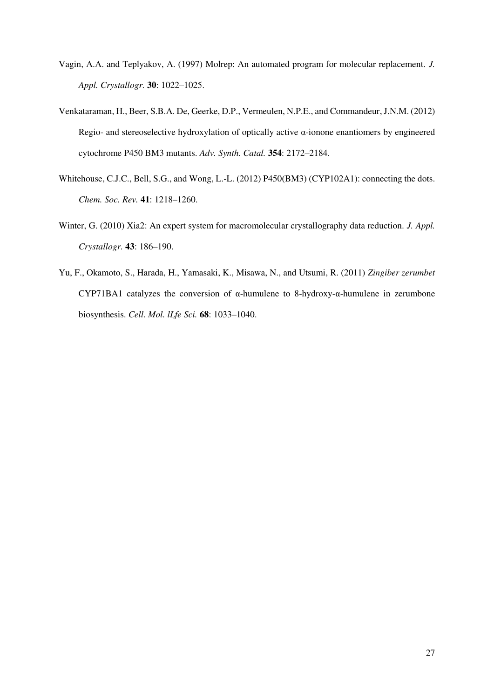- Vagin, A.A. and Teplyakov, A. (1997) Molrep: An automated program for molecular replacement. *J. Appl. Crystallogr.* **30**: 1022–1025.
- Venkataraman, H., Beer, S.B.A. De, Geerke, D.P., Vermeulen, N.P.E., and Commandeur, J.N.M. (2012) Regio- and stereoselective hydroxylation of optically active α-ionone enantiomers by engineered cytochrome P450 BM3 mutants. *Adv. Synth. Catal.* **354**: 2172–2184.
- Whitehouse, C.J.C., Bell, S.G., and Wong, L.-L. (2012) P450(BM3) (CYP102A1): connecting the dots. *Chem. Soc. Rev.* **41**: 1218–1260.
- Winter, G. (2010) Xia2: An expert system for macromolecular crystallography data reduction. *J. Appl. Crystallogr.* **43**: 186–190.
- Yu, F., Okamoto, S., Harada, H., Yamasaki, K., Misawa, N., and Utsumi, R. (2011) *Zingiber zerumbet* CYP71BA1 catalyzes the conversion of α-humulene to 8-hydroxy-α-humulene in zerumbone biosynthesis. *Cell. Mol. lLfe Sci.* **68**: 1033–1040.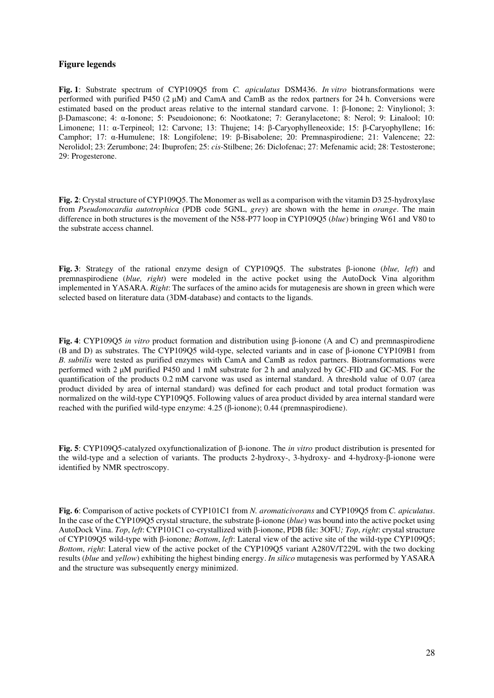#### **Figure legends**

**Fig. 1**: Substrate spectrum of CYP109Q5 from *C. apiculatus* DSM436. *In vitro* biotransformations were performed with purified P450 (2 μM) and CamA and CamB as the redox partners for 24 h. Conversions were estimated based on the product areas relative to the internal standard carvone. 1: β-Ionone; 2: Vinylionol; 3: β-Damascone; 4: α-Ionone; 5: Pseudoionone; 6: Nootkatone; 7: Geranylacetone; 8: Nerol; 9: Linalool; 10: Limonene; 11: α-Terpineol; 12: Carvone; 13: Thujene; 14: β-Caryophylleneoxide; 15: β-Caryophyllene; 16: Camphor; 17: α-Humulene; 18: Longifolene; 19: β-Bisabolene; 20: Premnaspirodiene; 21: Valencene; 22: Nerolidol; 23: Zerumbone; 24: Ibuprofen; 25: *cis*-Stilbene; 26: Diclofenac; 27: Mefenamic acid; 28: Testosterone; 29: Progesterone.

**Fig. 2**: Crystal structure of CYP109O5. The Monomer as well as a comparison with the vitamin D3 25-hydroxylase from *Pseudonocardia autotrophica* (PDB code 5GNL, *grey*) are shown with the heme in *orange*. The main difference in both structures is the movement of the N58-P77 loop in CYP109Q5 (*blue*) bringing W61 and V80 to the substrate access channel.

**Fig. 3**: Strategy of the rational enzyme design of CYP109Q5. The substrates β-ionone (*blue, left*) and premnaspirodiene (*blue, right*) were modeled in the active pocket using the AutoDock Vina algorithm implemented in YASARA. *Right*: The surfaces of the amino acids for mutagenesis are shown in green which were selected based on literature data (3DM-database) and contacts to the ligands.

**Fig. 4**: CYP109Q5 *in vitro* product formation and distribution using β-ionone (A and C) and premnaspirodiene (B and D) as substrates. The CYP109Q5 wild-type, selected variants and in case of β-ionone CYP109B1 from *B. subtilis* were tested as purified enzymes with CamA and CamB as redox partners. Biotransformations were performed with 2 μM purified P450 and 1 mM substrate for 2 h and analyzed by GC-FID and GC-MS. For the quantification of the products 0.2 mM carvone was used as internal standard. A threshold value of 0.07 (area product divided by area of internal standard) was defined for each product and total product formation was normalized on the wild-type CYP109Q5. Following values of area product divided by area internal standard were reached with the purified wild-type enzyme: 4.25 (β-ionone); 0.44 (premnaspirodiene).

**Fig. 5**: CYP109Q5-catalyzed oxyfunctionalization of β-ionone. The *in vitro* product distribution is presented for the wild-type and a selection of variants. The products 2-hydroxy-, 3-hydroxy- and 4-hydroxy-β-ionone were identified by NMR spectroscopy.

**Fig. 6**: Comparison of active pockets of CYP101C1 from *N. aromaticivorans* and CYP109Q5 from *C. apiculatus*. In the case of the CYP109Q5 crystal structure, the substrate β-ionone (*blue*) was bound into the active pocket using AutoDock Vina. *Top*, *left*: CYP101C1 co-crystallized with β-ionone, PDB file: 3OFU*; Top*, *right*: crystal structure of CYP109Q5 wild-type with β-ionone*; Bottom*, *left*: Lateral view of the active site of the wild-type CYP109Q5; *Bottom*, *right*: Lateral view of the active pocket of the CYP109Q5 variant A280V/T229L with the two docking results (*blue* and *yellow*) exhibiting the highest binding energy. *In silico* mutagenesis was performed by YASARA and the structure was subsequently energy minimized.